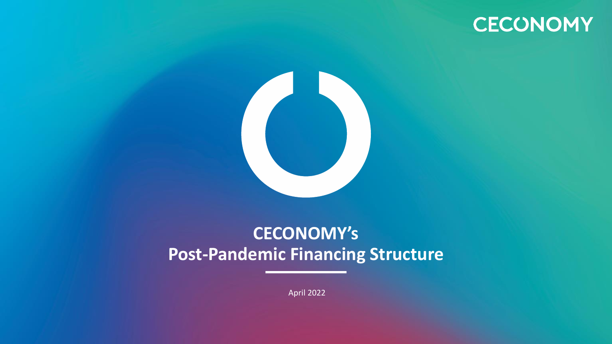# **CECONOMY**



## **CECONOMY's Post-Pandemic Financing Structure**

April 2022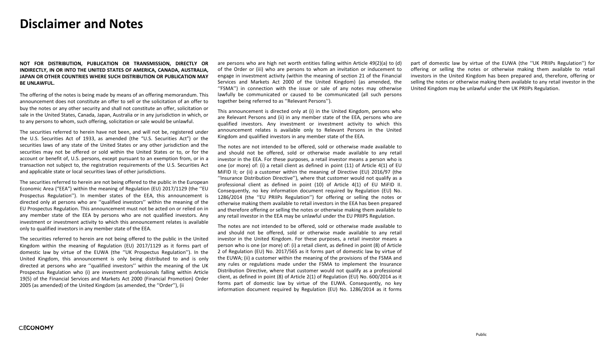#### **Disclaimer and Notes**

**NOT FOR DISTRIBUTION, PUBLICATION OR TRANSMISSION, DIRECTLY OR INDIRECTLY, IN OR INTO THE UNITED STATES OF AMERICA, CANADA, AUSTRALIA, JAPAN OR OTHER COUNTRIES WHERE SUCH DISTRIBUTION OR PUBLICATION MAY BE UNLAWFUL.**

The offering of the notes is being made by means of an offering memorandum. This announcement does not constitute an offer to sell or the solicitation of an offer to buy the notes or any other security and shall not constitute an offer, solicitation or sale in the United States, Canada, Japan, Australia or in any jurisdiction in which, or to any persons to whom, such offering, solicitation or sale would be unlawful.

The securities referred to herein have not been, and will not be, registered under the U.S. Securities Act of 1933, as amended (the "U.S. Securities Act") or the securities laws of any state of the United States or any other jurisdiction and the securities may not be offered or sold within the United States or to, or for the account or benefit of, U.S. persons, except pursuant to an exemption from, or in a transaction not subject to, the registration requirements of the U.S. Securities Act and applicable state or local securities laws of other jurisdictions.

The securities referred to herein are not being offered to the public in the European Economic Area ("EEA") within the meaning of Regulation (EU) 2017/1129 (the ''EU Prospectus Regulation''). In member states of the EEA, this announcement is directed only at persons who are ''qualified investors'' within the meaning of the EU Prospectus Regulation. This announcement must not be acted on or relied on in any member state of the EEA by persons who are not qualified investors. Any investment or investment activity to which this announcement relates is available only to qualified investors in any member state of the EEA.

The securities referred to herein are not being offered to the public in the United Kingdom within the meaning of Regulation (EU) 2017/1129 as it forms part of domestic law by virtue of the EUWA (the ''UK Prospectus Regulation''). In the United Kingdom, this announcement is only being distributed to and is only directed at persons who are ''qualified investors'' within the meaning of the UK Prospectus Regulation who (i) are investment professionals falling within Article 19(5) of the Financial Services and Markets Act 2000 (Financial Promotion) Order 2005 (as amended) of the United Kingdom (as amended, the ''Order''), (ii

are persons who are high net worth entities falling within Article 49(2)(a) to (d) of the Order or (iii) who are persons to whom an invitation or inducement to engage in investment activity (within the meaning of section 21 of the Financial Services and Markets Act 2000 of the United Kingdom) (as amended, the ''FSMA'') in connection with the issue or sale of any notes may otherwise lawfully be communicated or caused to be communicated (all such persons together being referred to as ''Relevant Persons'').

This announcement is directed only at (i) in the United Kingdom, persons who are Relevant Persons and (ii) in any member state of the EEA, persons who are qualified investors. Any investment or investment activity to which this announcement relates is available only to Relevant Persons in the United Kingdom and qualified investors in any member state of the EEA.

The notes are not intended to be offered, sold or otherwise made available to and should not be offered, sold or otherwise made available to any retail investor in the EEA. For these purposes, a retail investor means a person who is one (or more) of: (i) a retail client as defined in point (11) of Article 4(1) of EU MiFID II; or (ii) a customer within the meaning of Directive (EU) 2016/97 (the ''Insurance Distribution Directive''), where that customer would not qualify as a professional client as defined in point (10) of Article 4(1) of EU MiFID II. Consequently, no key information document required by Regulation (EU) No. 1286/2014 (the ''EU PRIIPs Regulation'') for offering or selling the notes or otherwise making them available to retail investors in the EEA has been prepared and therefore offering or selling the notes or otherwise making them available to any retail investor in the EEA may be unlawful under the EU PRIIPS Regulation.

The notes are not intended to be offered, sold or otherwise made available to and should not be offered, sold or otherwise made available to any retail investor in the United Kingdom. For these purposes, a retail investor means a person who is one (or more) of: (i) a retail client, as defined in point (8) of Article 2 of Regulation (EU) No. 2017/565 as it forms part of domestic law by virtue of the EUWA; (ii) a customer within the meaning of the provisions of the FSMA and any rules or regulations made under the FSMA to implement the Insurance Distribution Directive, where that customer would not qualify as a professional client, as defined in point (8) of Article 2(1) of Regulation (EU) No. 600/2014 as it forms part of domestic law by virtue of the EUWA. Consequently, no key information document required by Regulation (EU) No. 1286/2014 as it forms part of domestic law by virtue of the EUWA (the ''UK PRIIPs Regulation'') for offering or selling the notes or otherwise making them available to retail investors in the United Kingdom has been prepared and, therefore, offering or selling the notes or otherwise making them available to any retail investor in the United Kingdom may be unlawful under the UK PRIIPs Regulation.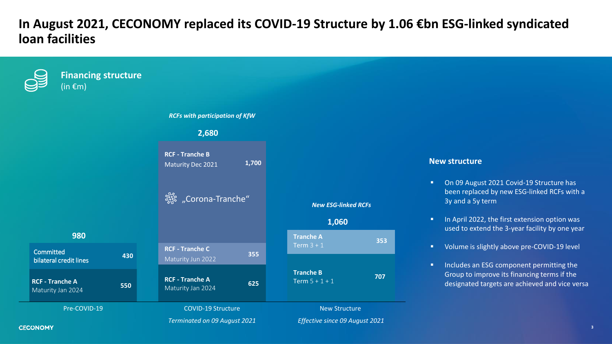### **In August 2021, CECONOMY replaced its COVID-19 Structure by 1.06 €bn ESG-linked syndicated loan facilities**

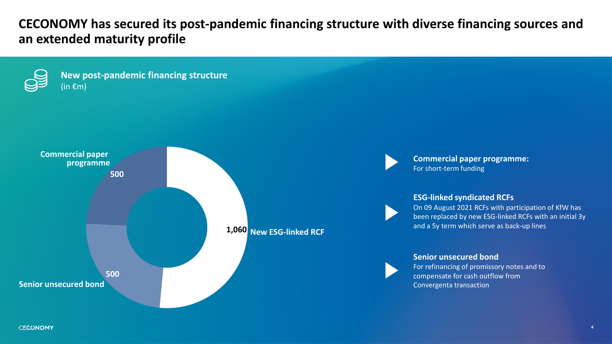**CECONOMY has secured its post-pandemic financing structure with diverse financing sources and an extended maturity profile**

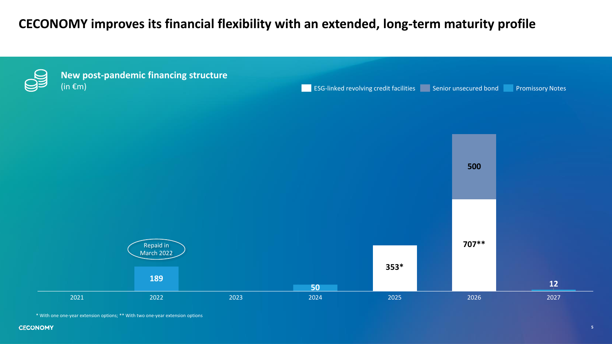## **CECONOMY improves its financial flexibility with an extended, long-term maturity profile**



```
* With one one-year extension options; ** With two one-year extension options
```